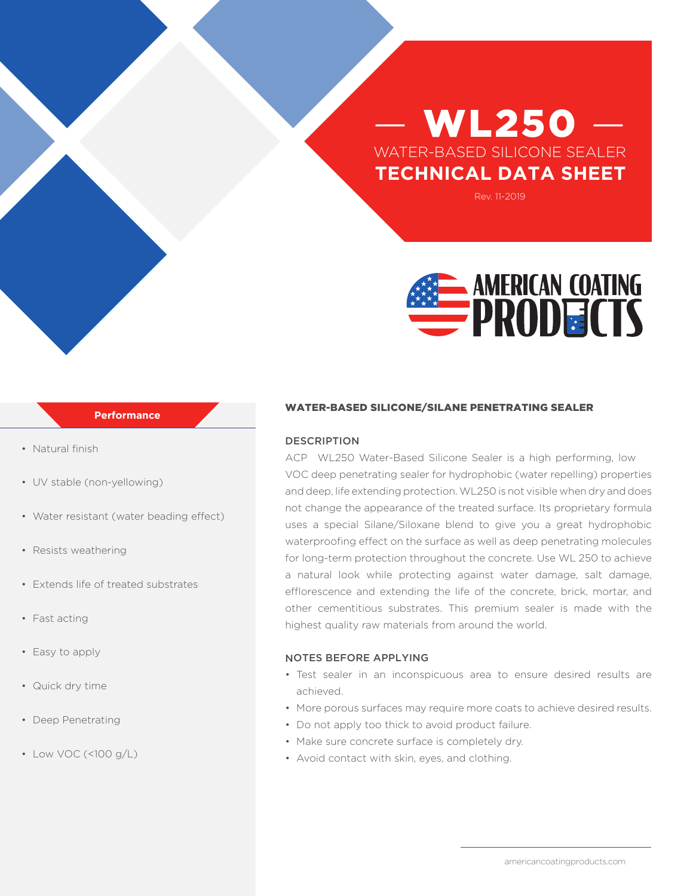# **WL250** WATER-BASED SILICONE SEALER **TECHNICAL DATA SHEET**

Rev. 11-2019



### **Performance**

- Natural finish
- UV stable (non-yellowing)
- Water resistant (water beading effect)
- Resists weathering
- Extends life of treated substrates
- Fast acting
- Easy to apply
- Quick dry time
- Deep Penetrating
- Low VOC (<100 g/L)

#### WATER-BASED SILICONE/SILANE PENETRATING SEALER

#### DESCRIPTION

ACP WL250 Water-Based Silicone Sealer is a high performing, low VOC deep penetrating sealer for hydrophobic (water repelling) properties and deep, life extending protection.WL250 is not visible when dry and does not change the appearance of the treated surface. Its proprietary formula uses a special Silane/Siloxane blend to give you a great hydrophobic waterproofing effect on the surface as well as deep penetrating molecules for long-term protection throughout the concrete. Use WL 250 to achieve a natural look while protecting against water damage, salt damage, efflorescence and extending the life of the concrete, brick, mortar, and other cementitious substrates. This premium sealer is made with the highest quality raw materials from around the world.

#### NOTES BEFORE APPLYING

- Test sealer in an inconspicuous area to ensure desired results are achieved.
- More porous surfaces may require more coats to achieve desired results.
- Do not apply too thick to avoid product failure.
- Make sure concrete surface is completely dry.
- Avoid contact with skin, eyes, and clothing.